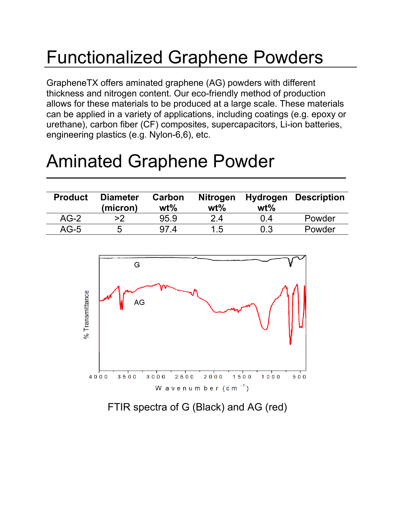# Functionalized Graphene Powders

GrapheneTX offers aminated graphene (AG) powders with different thickness and nitrogen content. Our eco-friendly method of production allows for these materials to be produced at a large scale. These materials can be applied in a variety of applications, including coatings (e.g. epoxy or urethane), carbon fiber (CF) composites, supercapacitors, Li-ion batteries, engineering plastics (e.g. Nylon-6,6), etc.

## Aminated Graphene Powder

| <b>Product</b> | <b>Diameter</b><br>(micron) | Carbon<br>$wt\%$ | <b>Nitrogen</b><br>$wt\%$ | $wt\%$ | <b>Hydrogen Description</b> |
|----------------|-----------------------------|------------------|---------------------------|--------|-----------------------------|
| $AG-2$         | >2                          | 95.9             | 2.4                       | በ 4    | Powder                      |
| $AG-5$         | ხ                           | 4                | l .5                      | 0.3    | Powder                      |



FTIR spectra of G (Black) and AG (red)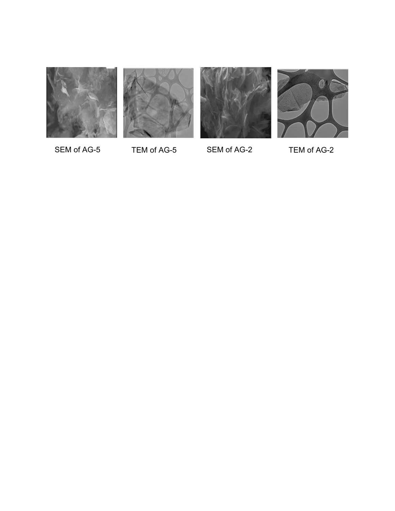







SEM of AG-5 TEM of AG-5 SEM of AG-2 TEM of AG-2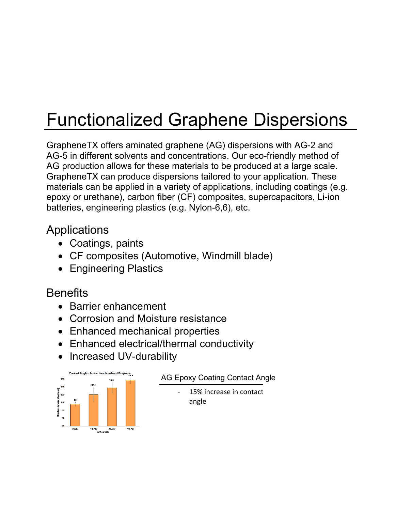# Functionalized Graphene Dispersions

GrapheneTX offers aminated graphene (AG) dispersions with AG-2 and AG-5 in different solvents and concentrations. Our eco-friendly method of AG production allows for these materials to be produced at a large scale. GrapheneTX can produce dispersions tailored to your application. These materials can be applied in a variety of applications, including coatings (e.g. epoxy or urethane), carbon fiber (CF) composites, supercapacitors, Li-ion batteries, engineering plastics (e.g. Nylon-6,6), etc.

#### **Applications**

- Coatings, paints
- CF composites (Automotive, Windmill blade)
- Engineering Plastics

### **Benefits**

- Barrier enhancement
- Corrosion and Moisture resistance
- Enhanced mechanical properties
- Enhanced electrical/thermal conductivity
- Increased UV-durability



#### AG Epoxy Coating Contact Angle

15% increase in contact angle